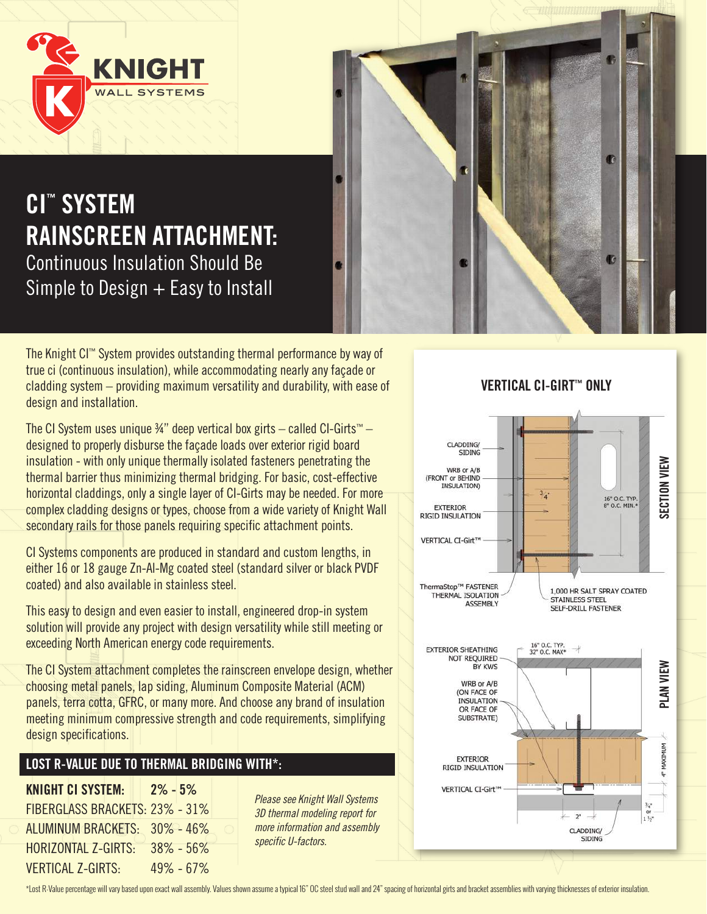

# **CI™ SYSTEM RAINSCREEN ATTACHMENT:**  Continuous Insulation Should Be Simple to Design  $+$  Easy to Install

The Knight CI™ System provides outstanding thermal performance by way of true ci (continuous insulation), while accommodating nearly any façade or cladding system – providing maximum versatility and durability, with ease of design and installation.

The CI System uses unique  $\frac{3}{4}$ " deep vertical box girts – called CI-Girts™ – designed to properly disburse the façade loads over exterior rigid board insulation - with only unique thermally isolated fasteners penetrating the thermal barrier thus minimizing thermal bridging. For basic, cost-effective horizontal claddings, only a single layer of CI-Girts may be needed. For more complex cladding designs or types, choose from a wide variety of Knight Wall secondary rails for those panels requiring specific attachment points.

CI Systems components are produced in standard and custom lengths, in either 16 or 18 gauge Zn-Al-Mg coated steel (standard silver or black PVDF coated) and also available in stainless steel.

This easy to design and even easier to install, engineered drop-in system solution will provide any project with design versatility while still meeting or exceeding North American energy code requirements.

The CI System attachment completes the rainscreen envelope design, whether choosing metal panels, lap siding, Aluminum Composite Material (ACM) panels, terra cotta, GFRC, or many more. And choose any brand of insulation meeting minimum compressive strength and code requirements, simplifying design specifications.

### **LOST R-VALUE DUE TO THERMAL BRIDGING WITH\*:**

**KNIGHT CI SYSTEM: 2% - 5%** FIBERGLASS BRACKETS: 23% - 31% ALUMINUM BRACKETS: 30% - 46% HORIZONTAL Z-GIRTS: 38% - 56% VERTICAL Z-GIRTS: 49% - 67%

*Please see Knight Wall Systems 3D thermal modeling report for more information and assembly specific U-factors.*

### **VERTICAL CI-GIRT™ ONLY**

R

Œ



\*Lost R-Value percentage will vary based upon exact wall assembly. Values shown assume a typical 16" OC steel stud wall and 24" spacing of horizontal girts and bracket assemblies with varying thicknesses of exterior insula